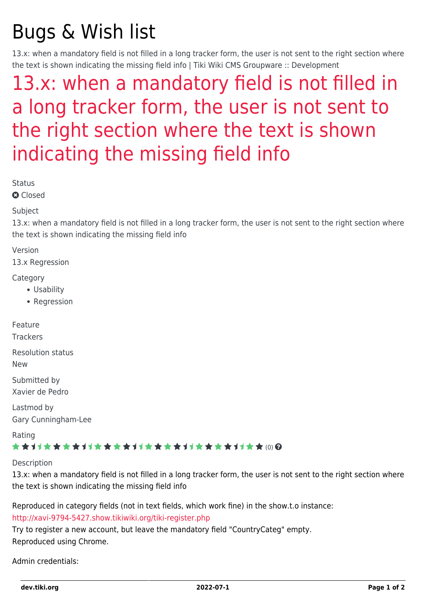# Bugs & Wish list

13.x: when a mandatory field is not filled in a long tracker form, the user is not sent to the right section where the text is shown indicating the missing field info | Tiki Wiki CMS Groupware :: Development

## [13.x: when a mandatory field is not filled in](https://dev.tiki.org/item5427-13-x-when-a-mandatory-field-is-not-filled-in-a-long-tracker-form-the-user-is-not-sent-to-the-right-section-where-the-text-is-shown-indicating-the-missing-field-info) [a long tracker form, the user is not sent to](https://dev.tiki.org/item5427-13-x-when-a-mandatory-field-is-not-filled-in-a-long-tracker-form-the-user-is-not-sent-to-the-right-section-where-the-text-is-shown-indicating-the-missing-field-info) [the right section where the text is shown](https://dev.tiki.org/item5427-13-x-when-a-mandatory-field-is-not-filled-in-a-long-tracker-form-the-user-is-not-sent-to-the-right-section-where-the-text-is-shown-indicating-the-missing-field-info) [indicating the missing field info](https://dev.tiki.org/item5427-13-x-when-a-mandatory-field-is-not-filled-in-a-long-tracker-form-the-user-is-not-sent-to-the-right-section-where-the-text-is-shown-indicating-the-missing-field-info)

**Status** 

**a** Closed

#### Subject

13.x: when a mandatory field is not filled in a long tracker form, the user is not sent to the right section where the text is shown indicating the missing field info

Version

13.x Regression

**Category** 

- Usability
- Regression

Feature

**Trackers** 

Resolution status

New

Submitted by Xavier de Pedro

Lastmod by Gary Cunningham-Lee

Rating

#### \*\*\*\*\*\*\*\*\*\*\*\*\*\*\*\*\*\*\*\*\*\*\*\*\*\*\*\*\*\*

**Description** 

13.x: when a mandatory field is not filled in a long tracker form, the user is not sent to the right section where the text is shown indicating the missing field info

Reproduced in category fields (not in text fields, which work fine) in the show.t.o instance: <http://xavi-9794-5427.show.tikiwiki.org/tiki-register.php>

Try to register a new account, but leave the mandatory field "CountryCateg" empty. Reproduced using Chrome.

Admin credentials: